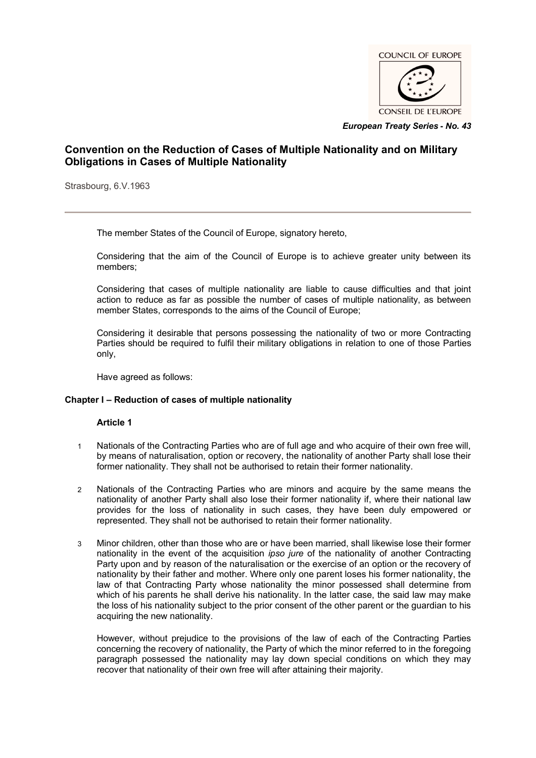

*European Treaty Series* **-** *No. 43*

# **Convention on the Reduction of Cases of Multiple Nationality and on Military Obligations in Cases of Multiple Nationality**

Strasbourg, 6.V.1963

The member States of the Council of Europe, signatory hereto,

Considering that the aim of the Council of Europe is to achieve greater unity between its members;

Considering that cases of multiple nationality are liable to cause difficulties and that joint action to reduce as far as possible the number of cases of multiple nationality, as between member States, corresponds to the aims of the Council of Europe;

Considering it desirable that persons possessing the nationality of two or more Contracting Parties should be required to fulfil their military obligations in relation to one of those Parties only,

Have agreed as follows:

#### **Chapter I – Reduction of cases of multiple nationality**

#### **Article 1**

- 1 Nationals of the Contracting Parties who are of full age and who acquire of their own free will, by means of naturalisation, option or recovery, the nationality of another Party shall lose their former nationality. They shall not be authorised to retain their former nationality.
- 2 Nationals of the Contracting Parties who are minors and acquire by the same means the nationality of another Party shall also lose their former nationality if, where their national law provides for the loss of nationality in such cases, they have been duly empowered or represented. They shall not be authorised to retain their former nationality.
- 3 Minor children, other than those who are or have been married, shall likewise lose their former nationality in the event of the acquisition *ipso jure* of the nationality of another Contracting Party upon and by reason of the naturalisation or the exercise of an option or the recovery of nationality by their father and mother. Where only one parent loses his former nationality, the law of that Contracting Party whose nationality the minor possessed shall determine from which of his parents he shall derive his nationality. In the latter case, the said law may make the loss of his nationality subject to the prior consent of the other parent or the guardian to his acquiring the new nationality.

However, without prejudice to the provisions of the law of each of the Contracting Parties concerning the recovery of nationality, the Party of which the minor referred to in the foregoing paragraph possessed the nationality may lay down special conditions on which they may recover that nationality of their own free will after attaining their majority.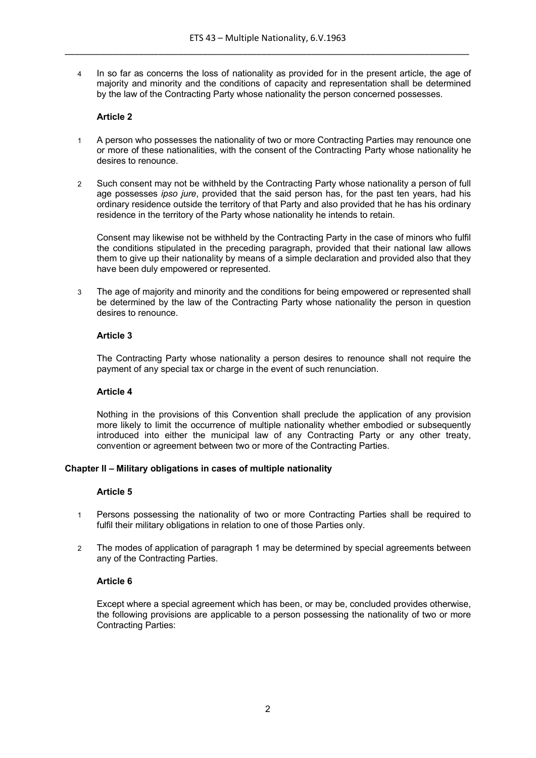4 In so far as concerns the loss of nationality as provided for in the present article, the age of majority and minority and the conditions of capacity and representation shall be determined by the law of the Contracting Party whose nationality the person concerned possesses.

## **Article 2**

- 1 A person who possesses the nationality of two or more Contracting Parties may renounce one or more of these nationalities, with the consent of the Contracting Party whose nationality he desires to renounce.
- 2 Such consent may not be withheld by the Contracting Party whose nationality a person of full age possesses *ipso jure*, provided that the said person has, for the past ten years, had his ordinary residence outside the territory of that Party and also provided that he has his ordinary residence in the territory of the Party whose nationality he intends to retain.

Consent may likewise not be withheld by the Contracting Party in the case of minors who fulfil the conditions stipulated in the preceding paragraph, provided that their national law allows them to give up their nationality by means of a simple declaration and provided also that they have been duly empowered or represented.

3 The age of majority and minority and the conditions for being empowered or represented shall be determined by the law of the Contracting Party whose nationality the person in question desires to renounce.

### **Article 3**

The Contracting Party whose nationality a person desires to renounce shall not require the payment of any special tax or charge in the event of such renunciation.

### **Article 4**

Nothing in the provisions of this Convention shall preclude the application of any provision more likely to limit the occurrence of multiple nationality whether embodied or subsequently introduced into either the municipal law of any Contracting Party or any other treaty, convention or agreement between two or more of the Contracting Parties.

### **Chapter II – Military obligations in cases of multiple nationality**

### **Article 5**

- 1 Persons possessing the nationality of two or more Contracting Parties shall be required to fulfil their military obligations in relation to one of those Parties only.
- 2 The modes of application of paragraph 1 may be determined by special agreements between any of the Contracting Parties.

## **Article 6**

Except where a special agreement which has been, or may be, concluded provides otherwise, the following provisions are applicable to a person possessing the nationality of two or more Contracting Parties: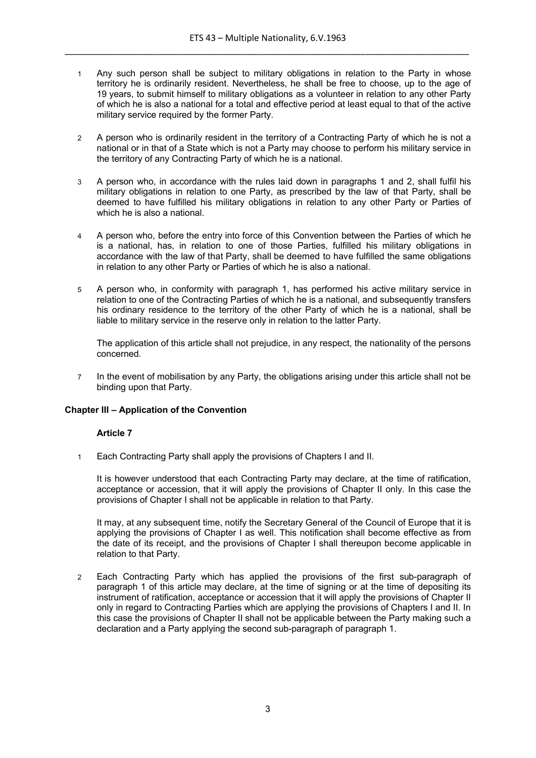- 1 Any such person shall be subject to military obligations in relation to the Party in whose territory he is ordinarily resident. Nevertheless, he shall be free to choose, up to the age of 19 years, to submit himself to military obligations as a volunteer in relation to any other Party of which he is also a national for a total and effective period at least equal to that of the active military service required by the former Party.
- 2 A person who is ordinarily resident in the territory of a Contracting Party of which he is not a national or in that of a State which is not a Party may choose to perform his military service in the territory of any Contracting Party of which he is a national.
- 3 A person who, in accordance with the rules laid down in paragraphs 1 and 2, shall fulfil his military obligations in relation to one Party, as prescribed by the law of that Party, shall be deemed to have fulfilled his military obligations in relation to any other Party or Parties of which he is also a national.
- 4 A person who, before the entry into force of this Convention between the Parties of which he is a national, has, in relation to one of those Parties, fulfilled his military obligations in accordance with the law of that Party, shall be deemed to have fulfilled the same obligations in relation to any other Party or Parties of which he is also a national.
- 5 A person who, in conformity with paragraph 1, has performed his active military service in relation to one of the Contracting Parties of which he is a national, and subsequently transfers his ordinary residence to the territory of the other Party of which he is a national, shall be liable to military service in the reserve only in relation to the latter Party.

The application of this article shall not prejudice, in any respect, the nationality of the persons concerned.

7 In the event of mobilisation by any Party, the obligations arising under this article shall not be binding upon that Party.

### **Chapter III – Application of the Convention**

### **Article 7**

1 Each Contracting Party shall apply the provisions of Chapters I and II.

It is however understood that each Contracting Party may declare, at the time of ratification, acceptance or accession, that it will apply the provisions of Chapter II only. In this case the provisions of Chapter I shall not be applicable in relation to that Party.

It may, at any subsequent time, notify the Secretary General of the Council of Europe that it is applying the provisions of Chapter I as well. This notification shall become effective as from the date of its receipt, and the provisions of Chapter I shall thereupon become applicable in relation to that Party.

2 Each Contracting Party which has applied the provisions of the first sub-paragraph of paragraph 1 of this article may declare, at the time of signing or at the time of depositing its instrument of ratification, acceptance or accession that it will apply the provisions of Chapter II only in regard to Contracting Parties which are applying the provisions of Chapters I and II. In this case the provisions of Chapter II shall not be applicable between the Party making such a declaration and a Party applying the second sub-paragraph of paragraph 1.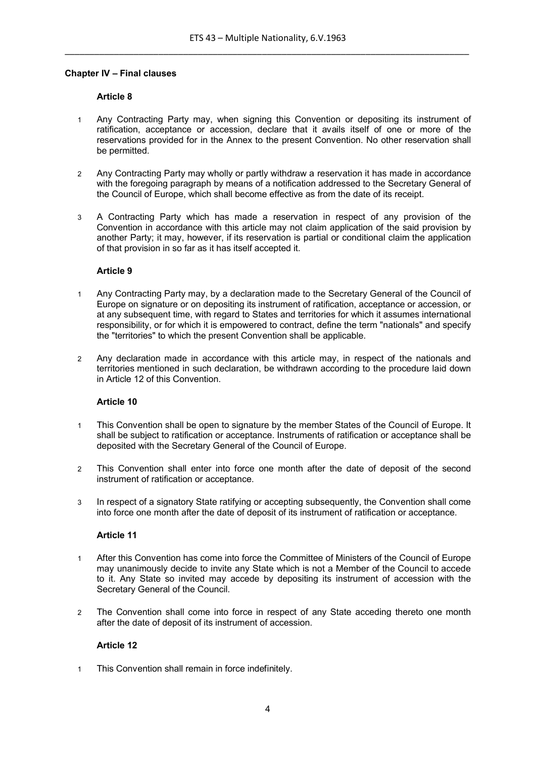### **Chapter IV – Final clauses**

#### **Article 8**

- 1 Any Contracting Party may, when signing this Convention or depositing its instrument of ratification, acceptance or accession, declare that it avails itself of one or more of the reservations provided for in the Annex to the present Convention. No other reservation shall be permitted.
- 2 Any Contracting Party may wholly or partly withdraw a reservation it has made in accordance with the foregoing paragraph by means of a notification addressed to the Secretary General of the Council of Europe, which shall become effective as from the date of its receipt.
- 3 A Contracting Party which has made a reservation in respect of any provision of the Convention in accordance with this article may not claim application of the said provision by another Party; it may, however, if its reservation is partial or conditional claim the application of that provision in so far as it has itself accepted it.

#### **Article 9**

- 1 Any Contracting Party may, by a declaration made to the Secretary General of the Council of Europe on signature or on depositing its instrument of ratification, acceptance or accession, or at any subsequent time, with regard to States and territories for which it assumes international responsibility, or for which it is empowered to contract, define the term "nationals" and specify the "territories" to which the present Convention shall be applicable.
- 2 Any declaration made in accordance with this article may, in respect of the nationals and territories mentioned in such declaration, be withdrawn according to the procedure laid down in Article 12 of this Convention.

### **Article 10**

- 1 This Convention shall be open to signature by the member States of the Council of Europe. It shall be subject to ratification or acceptance. Instruments of ratification or acceptance shall be deposited with the Secretary General of the Council of Europe.
- 2 This Convention shall enter into force one month after the date of deposit of the second instrument of ratification or acceptance.
- 3 In respect of a signatory State ratifying or accepting subsequently, the Convention shall come into force one month after the date of deposit of its instrument of ratification or acceptance.

### **Article 11**

- 1 After this Convention has come into force the Committee of Ministers of the Council of Europe may unanimously decide to invite any State which is not a Member of the Council to accede to it. Any State so invited may accede by depositing its instrument of accession with the Secretary General of the Council.
- 2 The Convention shall come into force in respect of any State acceding thereto one month after the date of deposit of its instrument of accession.

### **Article 12**

1 This Convention shall remain in force indefinitely.